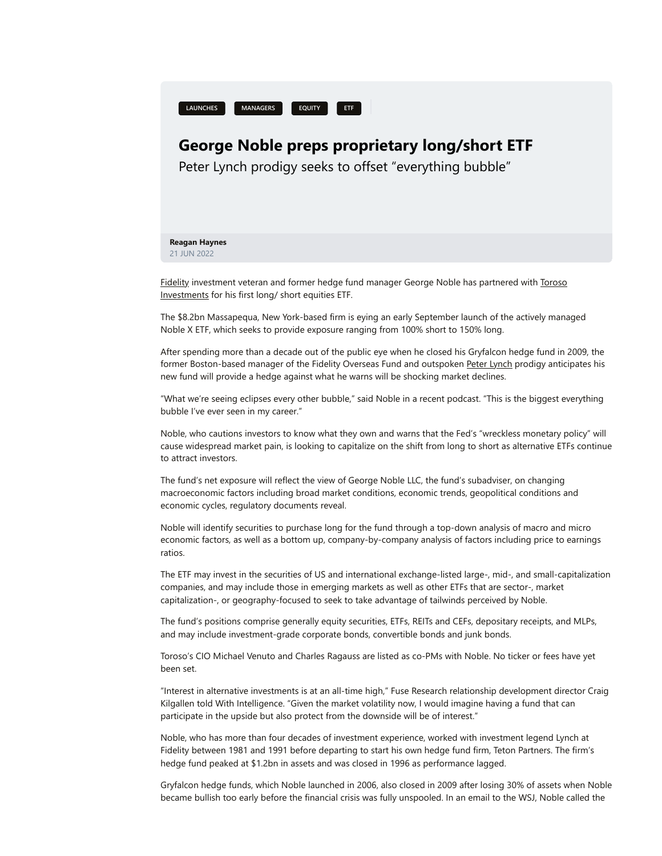

## **George Noble preps proprietary long/short ETF**

Peter Lynch prodigy seeks to offset "everything bubble"

## **Reagan Haynes** 21 JUN 2022

[Fidelit](https://platform.tfintel.com/intel/george-noble-preps-proprietary-hedged-etf?a=439340&utm_source=newsletter&utm_medium=email&utm_campaign=%2053221&manager=-2066103129)[y investment veteran and former hedge fund manager George Noble has partnered with Toroso](https://platform.tfintel.com/intel/george-noble-preps-proprietary-hedged-etf?a=439340&utm_source=newsletter&utm_medium=email&utm_campaign=%2053221&manager=2145882974) Investments for his first long/ short equities ETF.

The \$8.2bn Massapequa, New York-based firm is eying an early September launch of the actively managed Noble X ETF, which seeks to provide exposure ranging from 100% short to 150% long.

After spending more than a decade out of the public eye when he closed his Gryfalcon hedge fund in 2009, the former Boston-based manager of the Fidelity Overseas Fund and outspoken [Peter Lynch](https://platform.tfintel.com/intel/peter-lynch?a=236421) prodigy anticipates his new fund will provide a hedge against what he warns will be shocking market declines.

"What we're seeing eclipses every other bubble," said Noble in a recent podcast. "This is the biggest everything bubble I've ever seen in my career."

Noble, who cautions investors to know what they own and warns that the Fed's "wreckless monetary policy" will cause widespread market pain, is looking to capitalize on the shift from long to short as alternative ETFs continue to attract investors.

The fund's net exposure will reflect the view of George Noble LLC, the fund's subadviser, on changing macroeconomic factors including broad market conditions, economic trends, geopolitical conditions and economic cycles, regulatory documents reveal.

Noble will identify securities to purchase long for the fund through a top-down analysis of macro and micro economic factors, as well as a bottom up, company-by-company analysis of factors including price to earnings ratios.

The ETF may invest in the securities of US and international exchange-listed large-, mid-, and small-capitalization companies, and may include those in emerging markets as well as other ETFs that are sector-, market capitalization-, or geography-focused to seek to take advantage of tailwinds perceived by Noble.

The fund's positions comprise generally equity securities, ETFs, REITs and CEFs, depositary receipts, and MLPs, and may include investment-grade corporate bonds, convertible bonds and junk bonds.

Toroso's CIO Michael Venuto and Charles Ragauss are listed as co-PMs with Noble. No ticker or fees have yet been set.

"Interest in alternative investments is at an all-time high," Fuse Research relationship development director Craig Kilgallen told With Intelligence. "Given the market volatility now, I would imagine having a fund that can participate in the upside but also protect from the downside will be of interest."

Noble, who has more than four decades of investment experience, worked with investment legend Lynch at Fidelity between 1981 and 1991 before departing to start his own hedge fund firm, Teton Partners. The firm's hedge fund peaked at \$1.2bn in assets and was closed in 1996 as performance lagged.

Gryfalcon hedge funds, which Noble launched in 2006, also closed in 2009 after losing 30% of assets when Noble became bullish too early before the financial crisis was fully unspooled. In an email to the WSJ, Noble called the